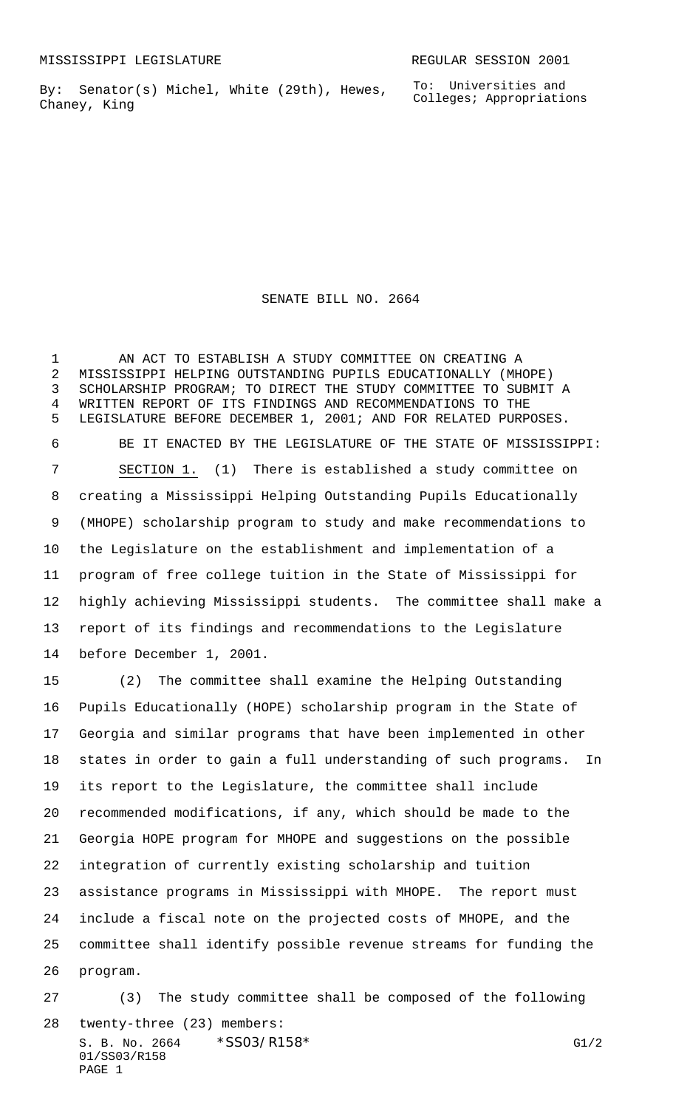By: Senator(s) Michel, White (29th), Hewes, Chaney, King

SENATE BILL NO. 2664

 AN ACT TO ESTABLISH A STUDY COMMITTEE ON CREATING A MISSISSIPPI HELPING OUTSTANDING PUPILS EDUCATIONALLY (MHOPE) SCHOLARSHIP PROGRAM; TO DIRECT THE STUDY COMMITTEE TO SUBMIT A WRITTEN REPORT OF ITS FINDINGS AND RECOMMENDATIONS TO THE LEGISLATURE BEFORE DECEMBER 1, 2001; AND FOR RELATED PURPOSES. BE IT ENACTED BY THE LEGISLATURE OF THE STATE OF MISSISSIPPI: SECTION 1. (1) There is established a study committee on creating a Mississippi Helping Outstanding Pupils Educationally (MHOPE) scholarship program to study and make recommendations to the Legislature on the establishment and implementation of a program of free college tuition in the State of Mississippi for highly achieving Mississippi students. The committee shall make a report of its findings and recommendations to the Legislature before December 1, 2001.

 (2) The committee shall examine the Helping Outstanding Pupils Educationally (HOPE) scholarship program in the State of Georgia and similar programs that have been implemented in other states in order to gain a full understanding of such programs. In its report to the Legislature, the committee shall include recommended modifications, if any, which should be made to the Georgia HOPE program for MHOPE and suggestions on the possible integration of currently existing scholarship and tuition assistance programs in Mississippi with MHOPE. The report must include a fiscal note on the projected costs of MHOPE, and the committee shall identify possible revenue streams for funding the program.

S. B. No. 2664  $*SS03/RT58*$  G1/2 01/SS03/R158 PAGE 1 (3) The study committee shall be composed of the following twenty-three (23) members: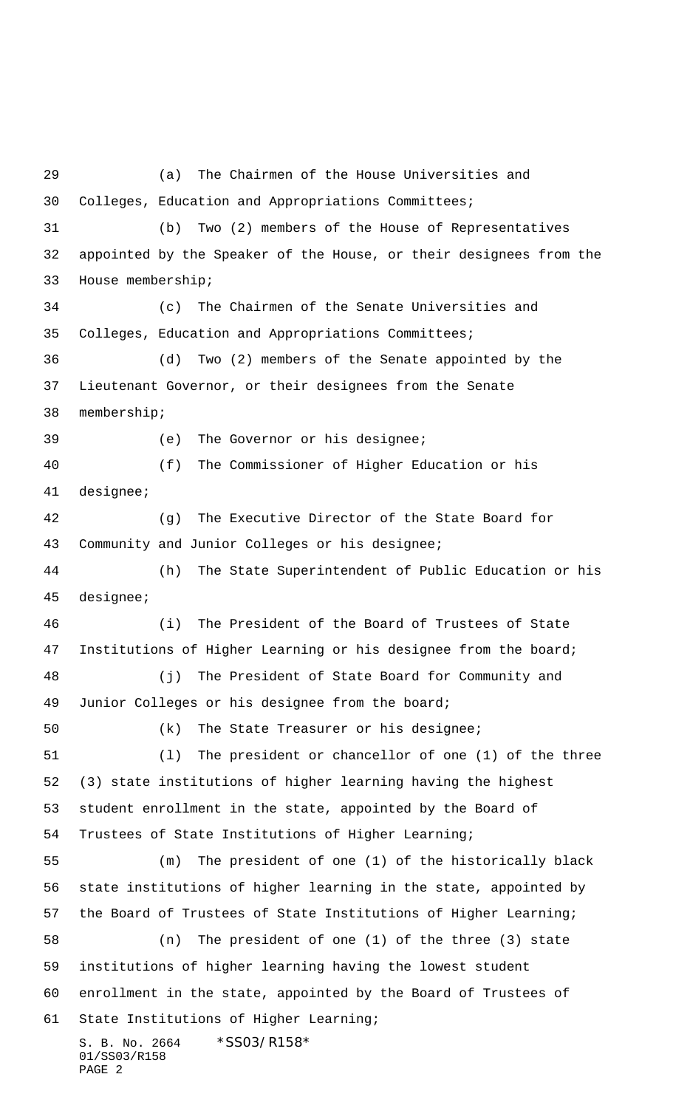S. B. No. 2664 \* SS03/R158\* 01/SS03/R158 PAGE 2 (a) The Chairmen of the House Universities and Colleges, Education and Appropriations Committees; (b) Two (2) members of the House of Representatives appointed by the Speaker of the House, or their designees from the House membership; (c) The Chairmen of the Senate Universities and Colleges, Education and Appropriations Committees; (d) Two (2) members of the Senate appointed by the Lieutenant Governor, or their designees from the Senate membership; (e) The Governor or his designee; (f) The Commissioner of Higher Education or his designee; (g) The Executive Director of the State Board for Community and Junior Colleges or his designee; (h) The State Superintendent of Public Education or his designee; (i) The President of the Board of Trustees of State Institutions of Higher Learning or his designee from the board; (j) The President of State Board for Community and Junior Colleges or his designee from the board; (k) The State Treasurer or his designee; (l) The president or chancellor of one (1) of the three (3) state institutions of higher learning having the highest student enrollment in the state, appointed by the Board of Trustees of State Institutions of Higher Learning; (m) The president of one (1) of the historically black state institutions of higher learning in the state, appointed by the Board of Trustees of State Institutions of Higher Learning; (n) The president of one (1) of the three (3) state institutions of higher learning having the lowest student enrollment in the state, appointed by the Board of Trustees of State Institutions of Higher Learning;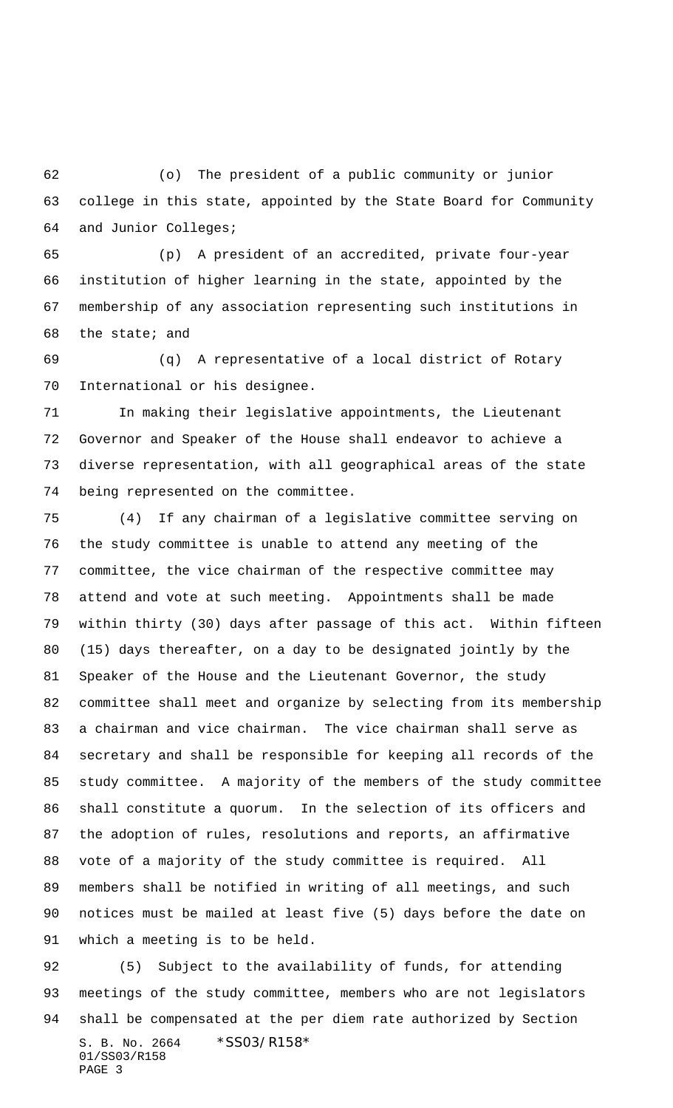(o) The president of a public community or junior college in this state, appointed by the State Board for Community and Junior Colleges;

 (p) A president of an accredited, private four-year institution of higher learning in the state, appointed by the membership of any association representing such institutions in the state; and

 (q) A representative of a local district of Rotary International or his designee.

 In making their legislative appointments, the Lieutenant Governor and Speaker of the House shall endeavor to achieve a diverse representation, with all geographical areas of the state being represented on the committee.

 (4) If any chairman of a legislative committee serving on the study committee is unable to attend any meeting of the committee, the vice chairman of the respective committee may attend and vote at such meeting. Appointments shall be made within thirty (30) days after passage of this act. Within fifteen (15) days thereafter, on a day to be designated jointly by the Speaker of the House and the Lieutenant Governor, the study committee shall meet and organize by selecting from its membership a chairman and vice chairman. The vice chairman shall serve as secretary and shall be responsible for keeping all records of the study committee. A majority of the members of the study committee shall constitute a quorum. In the selection of its officers and the adoption of rules, resolutions and reports, an affirmative vote of a majority of the study committee is required. All members shall be notified in writing of all meetings, and such notices must be mailed at least five (5) days before the date on which a meeting is to be held.

S. B. No. 2664 \* SS03/R158\* 01/SS03/R158 PAGE 3 (5) Subject to the availability of funds, for attending meetings of the study committee, members who are not legislators shall be compensated at the per diem rate authorized by Section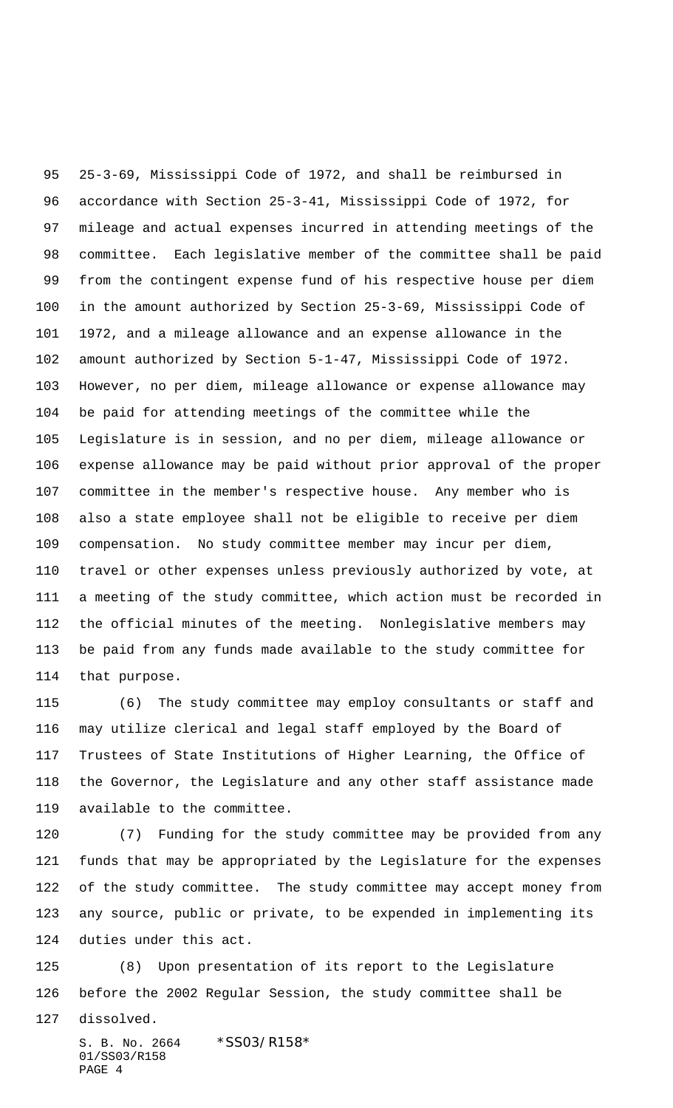25-3-69, Mississippi Code of 1972, and shall be reimbursed in accordance with Section 25-3-41, Mississippi Code of 1972, for mileage and actual expenses incurred in attending meetings of the committee. Each legislative member of the committee shall be paid from the contingent expense fund of his respective house per diem in the amount authorized by Section 25-3-69, Mississippi Code of 1972, and a mileage allowance and an expense allowance in the amount authorized by Section 5-1-47, Mississippi Code of 1972. However, no per diem, mileage allowance or expense allowance may be paid for attending meetings of the committee while the Legislature is in session, and no per diem, mileage allowance or expense allowance may be paid without prior approval of the proper committee in the member's respective house. Any member who is also a state employee shall not be eligible to receive per diem compensation. No study committee member may incur per diem, travel or other expenses unless previously authorized by vote, at a meeting of the study committee, which action must be recorded in the official minutes of the meeting. Nonlegislative members may be paid from any funds made available to the study committee for that purpose.

 (6) The study committee may employ consultants or staff and may utilize clerical and legal staff employed by the Board of Trustees of State Institutions of Higher Learning, the Office of the Governor, the Legislature and any other staff assistance made available to the committee.

 (7) Funding for the study committee may be provided from any funds that may be appropriated by the Legislature for the expenses of the study committee. The study committee may accept money from any source, public or private, to be expended in implementing its duties under this act.

 (8) Upon presentation of its report to the Legislature before the 2002 Regular Session, the study committee shall be

dissolved.

S. B. No. 2664 \* SS03/R158\* 01/SS03/R158 PAGE 4